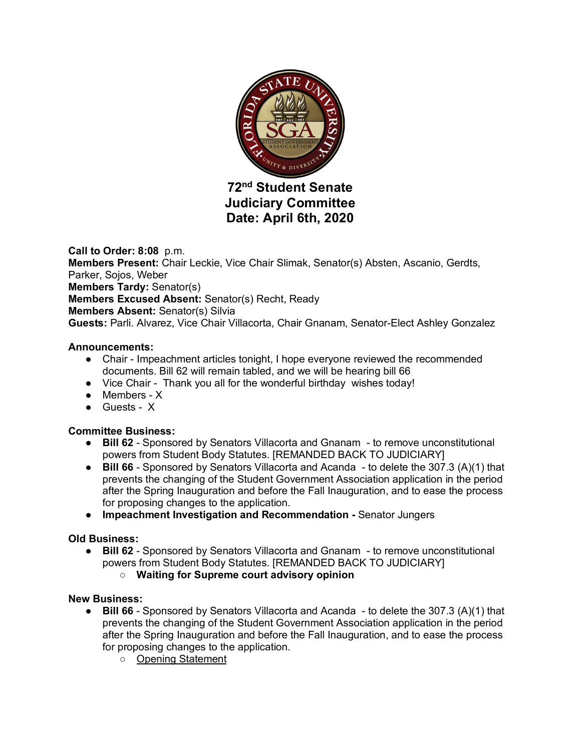

# **72nd Student Senate Judiciary Committee Date: April 6th, 2020**

**Call to Order: 8:08** p.m. **Members Present:** Chair Leckie, Vice Chair Slimak, Senator(s) Absten, Ascanio, Gerdts, Parker, Sojos, Weber **Members Tardy:** Senator(s) **Members Excused Absent:** Senator(s) Recht, Ready **Members Absent:** Senator(s) Silvia **Guests:** Parli. Alvarez, Vice Chair Villacorta, Chair Gnanam, Senator-Elect Ashley Gonzalez

## **Announcements:**

- Chair Impeachment articles tonight, I hope everyone reviewed the recommended documents. Bill 62 will remain tabled, and we will be hearing bill 66
- Vice Chair Thank you all for the wonderful birthday wishes today!
- Members X
- Guests X

# **Committee Business:**

- **Bill 62** Sponsored by Senators Villacorta and Gnanam to remove unconstitutional powers from Student Body Statutes. [REMANDED BACK TO JUDICIARY]
- **Bill 66** Sponsored by Senators Villacorta and Acanda to delete the 307.3 (A)(1) that prevents the changing of the Student Government Association application in the period after the Spring Inauguration and before the Fall Inauguration, and to ease the process for proposing changes to the application.
- **Impeachment Investigation and Recommendation -** Senator Jungers

# **Old Business:**

- **Bill 62** Sponsored by Senators Villacorta and Gnanam to remove unconstitutional powers from Student Body Statutes. [REMANDED BACK TO JUDICIARY]
	- **Waiting for Supreme court advisory opinion**

### **New Business:**

- **Bill 66** Sponsored by Senators Villacorta and Acanda to delete the 307.3 (A)(1) that prevents the changing of the Student Government Association application in the period after the Spring Inauguration and before the Fall Inauguration, and to ease the process for proposing changes to the application.
	- Opening Statement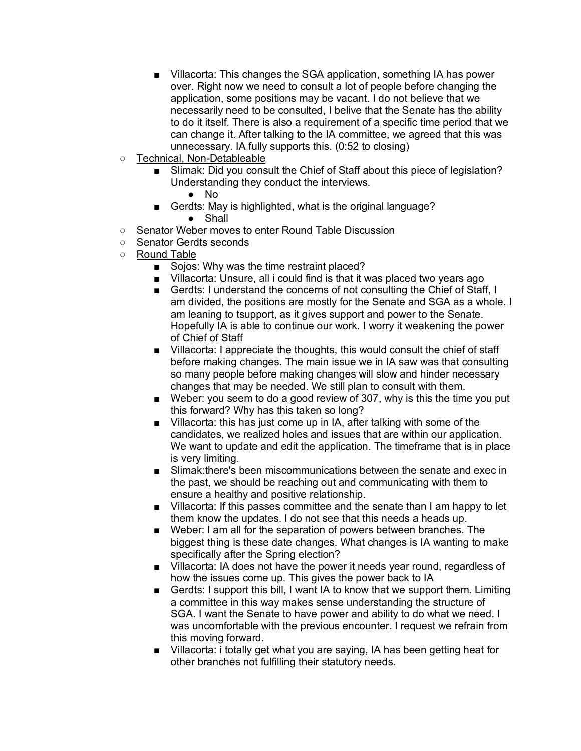- Villacorta: This changes the SGA application, something IA has power over. Right now we need to consult a lot of people before changing the application, some positions may be vacant. I do not believe that we necessarily need to be consulted, I belive that the Senate has the ability to do it itself. There is also a requirement of a specific time period that we can change it. After talking to the IA committee, we agreed that this was unnecessary. IA fully supports this. (0:52 to closing)
- Technical, Non-Detableable
	- Slimak: Did you consult the Chief of Staff about this piece of legislation? Understanding they conduct the interviews.
		- No
	- Gerdts: May is highlighted, what is the original language? ● Shall
- Senator Weber moves to enter Round Table Discussion
- Senator Gerdts seconds
- Round Table
	- Sojos: Why was the time restraint placed?
	- Villacorta: Unsure, all i could find is that it was placed two years ago
	- Gerdts: I understand the concerns of not consulting the Chief of Staff, I am divided, the positions are mostly for the Senate and SGA as a whole. I am leaning to tsupport, as it gives support and power to the Senate. Hopefully IA is able to continue our work. I worry it weakening the power of Chief of Staff
	- Villacorta: I appreciate the thoughts, this would consult the chief of staff before making changes. The main issue we in IA saw was that consulting so many people before making changes will slow and hinder necessary changes that may be needed. We still plan to consult with them.
	- Weber: you seem to do a good review of 307, why is this the time you put this forward? Why has this taken so long?
	- Villacorta: this has just come up in IA, after talking with some of the candidates, we realized holes and issues that are within our application. We want to update and edit the application. The timeframe that is in place is very limiting.
	- Slimak: there's been miscommunications between the senate and exec in the past, we should be reaching out and communicating with them to ensure a healthy and positive relationship.
	- Villacorta: If this passes committee and the senate than I am happy to let them know the updates. I do not see that this needs a heads up.
	- Weber: I am all for the separation of powers between branches. The biggest thing is these date changes. What changes is IA wanting to make specifically after the Spring election?
	- Villacorta: IA does not have the power it needs year round, regardless of how the issues come up. This gives the power back to IA
	- Gerdts: I support this bill, I want IA to know that we support them. Limiting a committee in this way makes sense understanding the structure of SGA. I want the Senate to have power and ability to do what we need. I was uncomfortable with the previous encounter. I request we refrain from this moving forward.
	- Villacorta: i totally get what you are saying, IA has been getting heat for other branches not fulfilling their statutory needs.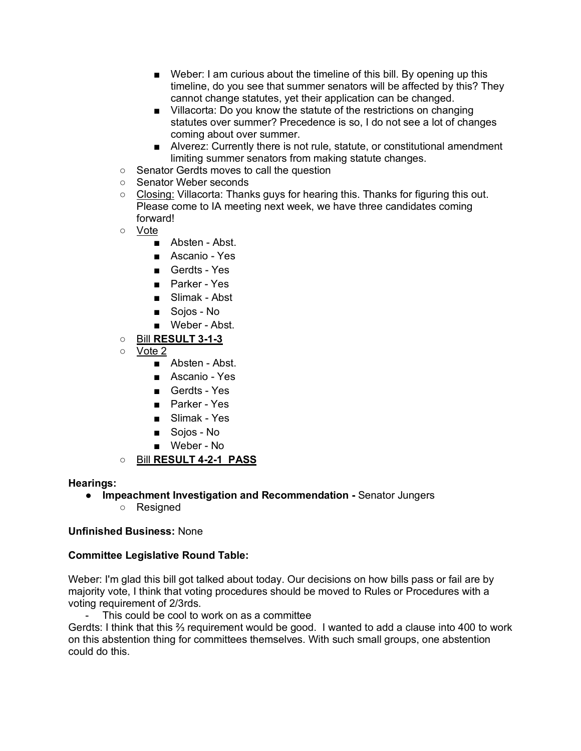- Weber: I am curious about the timeline of this bill. By opening up this timeline, do you see that summer senators will be affected by this? They cannot change statutes, yet their application can be changed.
- Villacorta: Do you know the statute of the restrictions on changing statutes over summer? Precedence is so, I do not see a lot of changes coming about over summer.
- Alverez: Currently there is not rule, statute, or constitutional amendment limiting summer senators from making statute changes.
- Senator Gerdts moves to call the question
- Senator Weber seconds
- $\circ$  Closing: Villacorta: Thanks guys for hearing this. Thanks for figuring this out. Please come to IA meeting next week, we have three candidates coming forward!
- Vote
	- Absten Abst.
	- Ascanio Yes
	- Gerdts Yes
	- Parker Yes
	- Slimak Abst
	- Sojos No
	- Weber Abst.
- Bill **RESULT 3-1-3**
- Vote 2
	- Absten Abst.
	- Ascanio Yes
	- Gerdts Yes
	- Parker Yes
	- Slimak Yes
	- Sojos No
	- Weber No
- Bill **RESULT 4-2-1 PASS**

#### **Hearings:**

- **Impeachment Investigation and Recommendation -** Senator Jungers
	- Resigned

### **Unfinished Business:** None

### **Committee Legislative Round Table:**

Weber: I'm glad this bill got talked about today. Our decisions on how bills pass or fail are by majority vote, I think that voting procedures should be moved to Rules or Procedures with a voting requirement of 2/3rds.

This could be cool to work on as a committee

Gerdts: I think that this ⅔ requirement would be good. I wanted to add a clause into 400 to work on this abstention thing for committees themselves. With such small groups, one abstention could do this.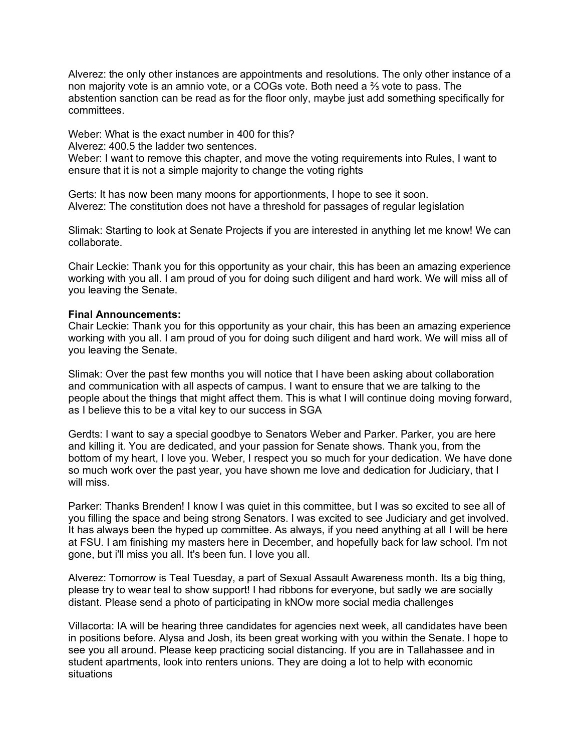Alverez: the only other instances are appointments and resolutions. The only other instance of a non majority vote is an amnio vote, or a COGs vote. Both need a  $\frac{2}{3}$  vote to pass. The abstention sanction can be read as for the floor only, maybe just add something specifically for committees.

Weber: What is the exact number in 400 for this?

Alverez: 400.5 the ladder two sentences.

Weber: I want to remove this chapter, and move the voting requirements into Rules, I want to ensure that it is not a simple majority to change the voting rights

Gerts: It has now been many moons for apportionments, I hope to see it soon. Alverez: The constitution does not have a threshold for passages of regular legislation

Slimak: Starting to look at Senate Projects if you are interested in anything let me know! We can collaborate.

Chair Leckie: Thank you for this opportunity as your chair, this has been an amazing experience working with you all. I am proud of you for doing such diligent and hard work. We will miss all of you leaving the Senate.

#### **Final Announcements:**

Chair Leckie: Thank you for this opportunity as your chair, this has been an amazing experience working with you all. I am proud of you for doing such diligent and hard work. We will miss all of you leaving the Senate.

Slimak: Over the past few months you will notice that I have been asking about collaboration and communication with all aspects of campus. I want to ensure that we are talking to the people about the things that might affect them. This is what I will continue doing moving forward, as I believe this to be a vital key to our success in SGA

Gerdts: I want to say a special goodbye to Senators Weber and Parker. Parker, you are here and killing it. You are dedicated, and your passion for Senate shows. Thank you, from the bottom of my heart, I love you. Weber, I respect you so much for your dedication. We have done so much work over the past year, you have shown me love and dedication for Judiciary, that I will miss.

Parker: Thanks Brenden! I know I was quiet in this committee, but I was so excited to see all of you filling the space and being strong Senators. I was excited to see Judiciary and get involved. It has always been the hyped up committee. As always, if you need anything at all I will be here at FSU. I am finishing my masters here in December, and hopefully back for law school. I'm not gone, but i'll miss you all. It's been fun. I love you all.

Alverez: Tomorrow is Teal Tuesday, a part of Sexual Assault Awareness month. Its a big thing, please try to wear teal to show support! I had ribbons for everyone, but sadly we are socially distant. Please send a photo of participating in kNOw more social media challenges

Villacorta: IA will be hearing three candidates for agencies next week, all candidates have been in positions before. Alysa and Josh, its been great working with you within the Senate. I hope to see you all around. Please keep practicing social distancing. If you are in Tallahassee and in student apartments, look into renters unions. They are doing a lot to help with economic situations